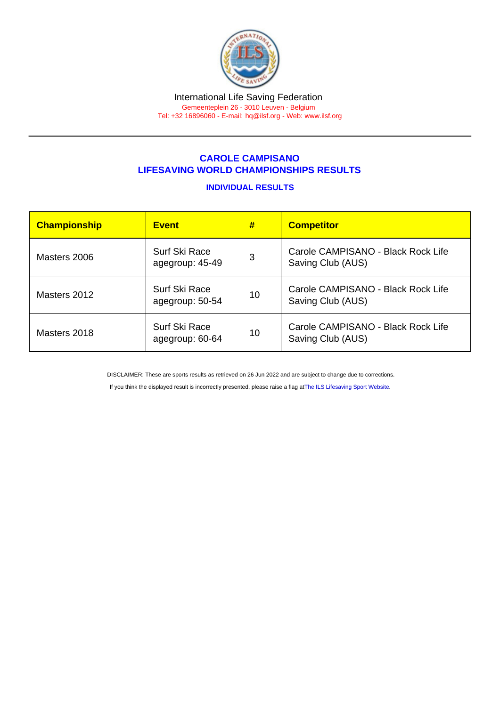## CAROLE CAMPISANO LIFESAVING WORLD CHAMPIONSHIPS RESULTS

## INDIVIDUAL RESULTS

| Championship | <b>Event</b>                            | #  | <b>Competitor</b>                                       |  |
|--------------|-----------------------------------------|----|---------------------------------------------------------|--|
| Masters 2006 | Surf Ski Race<br>agegroup: 45-49        | 3  | Carole CAMPISANO - Black Rock Life<br>Saving Club (AUS) |  |
| Masters 2012 | <b>Surf Ski Race</b><br>agegroup: 50-54 | 10 | Carole CAMPISANO - Black Rock Life<br>Saving Club (AUS) |  |
| Masters 2018 | Surf Ski Race<br>agegroup: 60-64        | 10 | Carole CAMPISANO - Black Rock Life<br>Saving Club (AUS) |  |

DISCLAIMER: These are sports results as retrieved on 26 Jun 2022 and are subject to change due to corrections.

If you think the displayed result is incorrectly presented, please raise a flag at [The ILS Lifesaving Sport Website.](https://sport.ilsf.org)